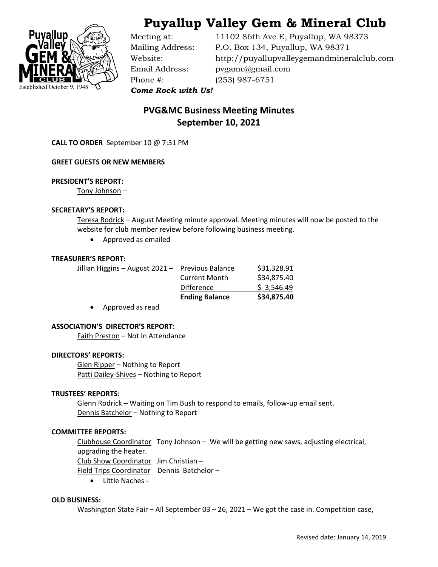



Phone #: (253) 987-6751

Meeting at: 11102 86th Ave E, Puyallup, WA 98373 Mailing Address: P.O. Box 134, Puyallup, WA 98371 Website: http://puyallupvalleygemandmineralclub.com Email Address: pvgamc@gmail.com

*Come Rock with Us!*

# **PVG&MC Business Meeting Minutes September 10, 2021**

**CALL TO ORDER** September 10 @ 7:31 PM

# **GREET GUESTS OR NEW MEMBERS**

# **PRESIDENT'S REPORT:**

Tony Johnson –

# **SECRETARY'S REPORT:**

Teresa Rodrick – August Meeting minute approval. Meeting minutes will now be posted to the website for club member review before following business meeting.

• Approved as emailed

# **TREASURER'S REPORT:**

|                                                  | <b>Ending Balance</b> | \$34,875.40 |
|--------------------------------------------------|-----------------------|-------------|
|                                                  | Difference            | \$3,546.49  |
|                                                  | <b>Current Month</b>  | \$34,875.40 |
| Jillian Higgins - August 2021 - Previous Balance |                       | \$31,328.91 |

• Approved as read

# **ASSOCIATION'S DIRECTOR'S REPORT:**

Faith Preston – Not in Attendance

#### **DIRECTORS' REPORTS:**

Glen Ripper – Nothing to Report Patti Dailey-Shives – Nothing to Report

# **TRUSTEES' REPORTS:**

Glenn Rodrick - Waiting on Tim Bush to respond to emails, follow-up email sent. Dennis Batchelor – Nothing to Report

# **COMMITTEE REPORTS:**

Clubhouse Coordinator Tony Johnson – We will be getting new saws, adjusting electrical, upgrading the heater.

Club Show Coordinator Jim Christian –

Field Trips Coordinator Dennis Batchelor –

• Little Naches -

# **OLD BUSINESS:**

Washington State Fair – All September 03 – 26, 2021 – We got the case in. Competition case,